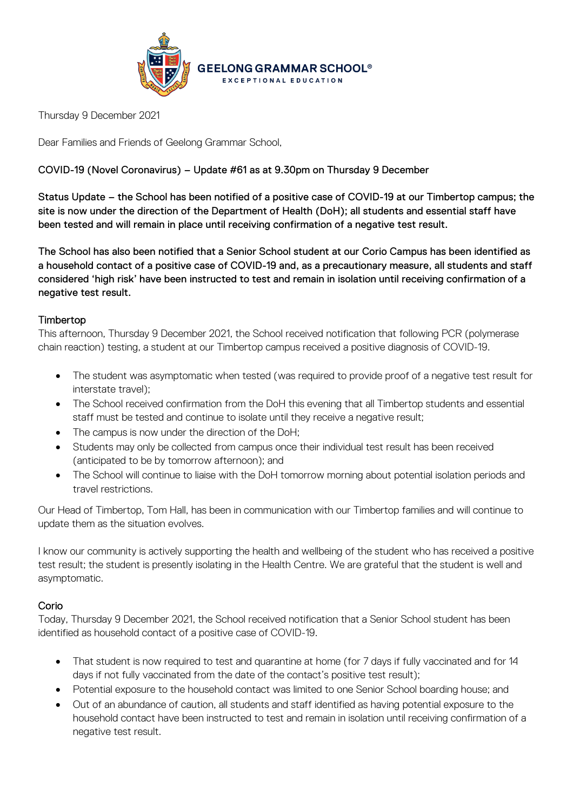

Thursday 9 December 2021

Dear Families and Friends of Geelong Grammar School,

## COVID-19 (Novel Coronavirus) – Update #61 as at 9.30pm on Thursday 9 December

Status Update – the School has been notified of a positive case of COVID-19 at our Timbertop campus; the site is now under the direction of the Department of Health (DoH); all students and essential staff have been tested and will remain in place until receiving confirmation of a negative test result.

The School has also been notified that a Senior School student at our Corio Campus has been identified as a household contact of a positive case of COVID-19 and, as a precautionary measure, all students and staff considered 'high risk' have been instructed to test and remain in isolation until receiving confirmation of a negative test result.

### Timbertop

This afternoon, Thursday 9 December 2021, the School received notification that following PCR (polymerase chain reaction) testing, a student at our Timbertop campus received a positive diagnosis of COVID-19.

- The student was asymptomatic when tested (was required to provide proof of a negative test result for interstate travel);
- The School received confirmation from the DoH this evening that all Timbertop students and essential staff must be tested and continue to isolate until they receive a negative result;
- The campus is now under the direction of the DoH;
- Students may only be collected from campus once their individual test result has been received (anticipated to be by tomorrow afternoon); and
- The School will continue to liaise with the DoH tomorrow morning about potential isolation periods and travel restrictions.

Our Head of Timbertop, Tom Hall, has been in communication with our Timbertop families and will continue to update them as the situation evolves.

I know our community is actively supporting the health and wellbeing of the student who has received a positive test result; the student is presently isolating in the Health Centre. We are grateful that the student is well and asymptomatic.

# Corio

Today, Thursday 9 December 2021, the School received notification that a Senior School student has been identified as household contact of a positive case of COVID-19.

- That student is now required to test and quarantine at home (for 7 days if fully vaccinated and for 14 days if not fully vaccinated from the date of the contact's positive test result);
- Potential exposure to the household contact was limited to one Senior School boarding house; and
- Out of an abundance of caution, all students and staff identified as having potential exposure to the household contact have been instructed to test and remain in isolation until receiving confirmation of a negative test result.